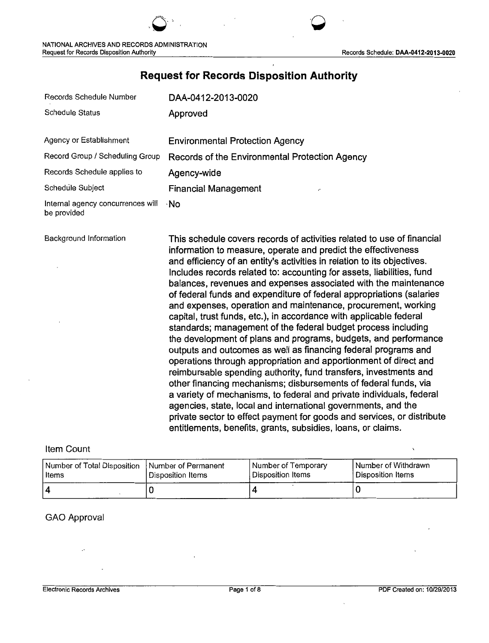**`** 

''  $\bigcirc$  '  $\cdot$ 

# **Request for Records Disposition Authority**

| Records Schedule Number                          | DAA-0412-2013-0020                                      |
|--------------------------------------------------|---------------------------------------------------------|
| <b>Schedule Status</b>                           | Approved                                                |
| Agency or Establishment                          | <b>Environmental Protection Agency</b>                  |
| Record Group / Scheduling Group                  | Records of the Environmental Protection Agency          |
| Records Schedule applies to                      | Agency-wide                                             |
| Schedule Subject                                 | <b>Financial Management</b><br>$\overline{\phantom{a}}$ |
| Internal agency concurrences will<br>be provided | ∙No                                                     |

Background Information **This schedule covers records of activities related to use of financial** information to measure, operate and predict the effectiveness and efficiency of an entity's activities in relation to its objectives. Includes records related to: accounting for assets, liabilities, fund balances, revenues and expenses associated with the maintenance of federal funds and expenditure of federal appropriations (salaries and expenses, operation and maintenance, procurement, working capital, trust funds, etc.), in accordance with applicable federal standards; management of the federal budget process including the development of plans and programs, budgets, and performance outputs and outcomes as well as financing federal programs and operations through appropriation and apportionment of direct and reimbursable spending authority, fund transfers, investments and other financing mechanisms; disbursements of federal funds, via a variety of mechanisms, to federal and private individuals, federal agencies, state, local and international governments, and the private sector to effect payment for goods and services, or distribute entitlements, benefits, grants, subsidies, loans, or claims.

### Item Count

| Number of Total Disposition | Number of Permanent | Number of Temporary | Number of Withdrawn |
|-----------------------------|---------------------|---------------------|---------------------|
| l Items                     | Disposition Items   | Disposition Items   | l Disposition Items |
|                             |                     |                     |                     |

#### GAO Approval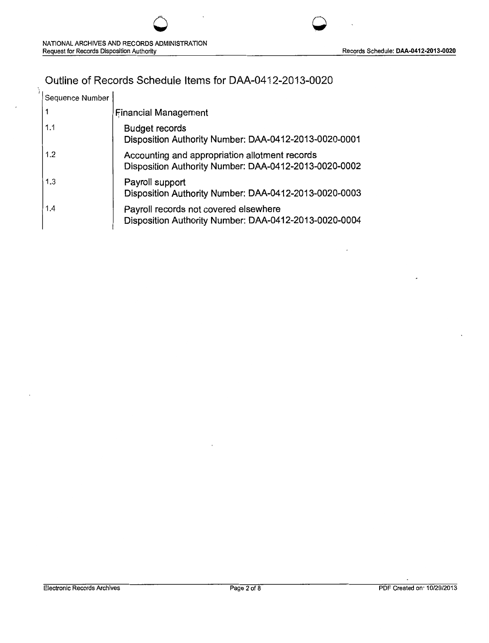# Outline of Records Schedule Items for DAA-0412-2013-0020

| Sequence Number |                                                                                                         |
|-----------------|---------------------------------------------------------------------------------------------------------|
|                 | <b>Financial Management</b>                                                                             |
| 1.1             | <b>Budget records</b><br>Disposition Authority Number: DAA-0412-2013-0020-0001                          |
| 1.2             | Accounting and appropriation allotment records<br>Disposition Authority Number: DAA-0412-2013-0020-0002 |
| 1.3             | Payroll support<br>Disposition Authority Number: DAA-0412-2013-0020-0003                                |
| 1.4             | Payroll records not covered elsewhere<br>Disposition Authority Number: DAA-0412-2013-0020-0004          |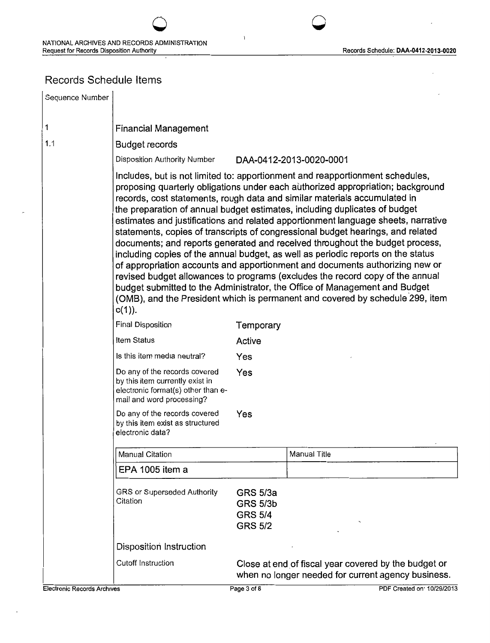## Records Schedule Items

| Sequence Number |                                                                                                                                     |                                                                        |                                                                                                                                                                                                                                                                                                                                                                                                                                                                                                                                                                                                                                                                                                                                                                                                                                                                                                                                                                                                         |
|-----------------|-------------------------------------------------------------------------------------------------------------------------------------|------------------------------------------------------------------------|---------------------------------------------------------------------------------------------------------------------------------------------------------------------------------------------------------------------------------------------------------------------------------------------------------------------------------------------------------------------------------------------------------------------------------------------------------------------------------------------------------------------------------------------------------------------------------------------------------------------------------------------------------------------------------------------------------------------------------------------------------------------------------------------------------------------------------------------------------------------------------------------------------------------------------------------------------------------------------------------------------|
| 1               | <b>Financial Management</b>                                                                                                         |                                                                        |                                                                                                                                                                                                                                                                                                                                                                                                                                                                                                                                                                                                                                                                                                                                                                                                                                                                                                                                                                                                         |
| 1.1             | <b>Budget records</b>                                                                                                               |                                                                        |                                                                                                                                                                                                                                                                                                                                                                                                                                                                                                                                                                                                                                                                                                                                                                                                                                                                                                                                                                                                         |
|                 | Disposition Authority Number                                                                                                        |                                                                        | DAA-0412-2013-0020-0001                                                                                                                                                                                                                                                                                                                                                                                                                                                                                                                                                                                                                                                                                                                                                                                                                                                                                                                                                                                 |
|                 | $c(1)$ ).                                                                                                                           |                                                                        | Includes, but is not limited to: apportionment and reapportionment schedules,<br>proposing quarterly obligations under each authorized appropriation; background<br>records, cost statements, rough data and similar materials accumulated in<br>the preparation of annual budget estimates, including duplicates of budget<br>estimates and justifications and related apportionment language sheets, narrative<br>statements, copies of transcripts of congressional budget hearings, and related<br>documents; and reports generated and received throughout the budget process,<br>including copies of the annual budget, as well as periodic reports on the status<br>of appropriation accounts and apportionment and documents authorizing new or<br>revised budget allowances to programs (excludes the record copy of the annual<br>budget submitted to the Administrator, the Office of Management and Budget<br>(OMB), and the President which is permanent and covered by schedule 299, item |
|                 | <b>Final Disposition</b>                                                                                                            | Temporary                                                              |                                                                                                                                                                                                                                                                                                                                                                                                                                                                                                                                                                                                                                                                                                                                                                                                                                                                                                                                                                                                         |
|                 | Item Status                                                                                                                         | Active                                                                 |                                                                                                                                                                                                                                                                                                                                                                                                                                                                                                                                                                                                                                                                                                                                                                                                                                                                                                                                                                                                         |
|                 | Is this item media neutral?                                                                                                         | Yes                                                                    |                                                                                                                                                                                                                                                                                                                                                                                                                                                                                                                                                                                                                                                                                                                                                                                                                                                                                                                                                                                                         |
|                 | Do any of the records covered<br>by this item currently exist in<br>electronic format(s) other than e-<br>mail and word processing? | Yes                                                                    |                                                                                                                                                                                                                                                                                                                                                                                                                                                                                                                                                                                                                                                                                                                                                                                                                                                                                                                                                                                                         |
|                 | Do any of the records covered<br>by this item exist as structured<br>electronic data?                                               | Yes                                                                    |                                                                                                                                                                                                                                                                                                                                                                                                                                                                                                                                                                                                                                                                                                                                                                                                                                                                                                                                                                                                         |
|                 | <b>Manual Citation</b>                                                                                                              |                                                                        | Manual Title                                                                                                                                                                                                                                                                                                                                                                                                                                                                                                                                                                                                                                                                                                                                                                                                                                                                                                                                                                                            |
|                 | EPA 1005 item a                                                                                                                     |                                                                        |                                                                                                                                                                                                                                                                                                                                                                                                                                                                                                                                                                                                                                                                                                                                                                                                                                                                                                                                                                                                         |
|                 | GRS or Superseded Authority<br>Citation                                                                                             | <b>GRS 5/3a</b><br><b>GRS 5/3b</b><br><b>GRS 5/4</b><br><b>GRS 5/2</b> |                                                                                                                                                                                                                                                                                                                                                                                                                                                                                                                                                                                                                                                                                                                                                                                                                                                                                                                                                                                                         |
|                 | Disposition Instruction                                                                                                             |                                                                        |                                                                                                                                                                                                                                                                                                                                                                                                                                                                                                                                                                                                                                                                                                                                                                                                                                                                                                                                                                                                         |
|                 | Cutoff Instruction                                                                                                                  |                                                                        | Close at end of fiscal year covered by the budget or<br>when no longer needed for current agency business.                                                                                                                                                                                                                                                                                                                                                                                                                                                                                                                                                                                                                                                                                                                                                                                                                                                                                              |

 $\overline{\mathcal{O}}$  and  $\overline{\mathcal{O}}$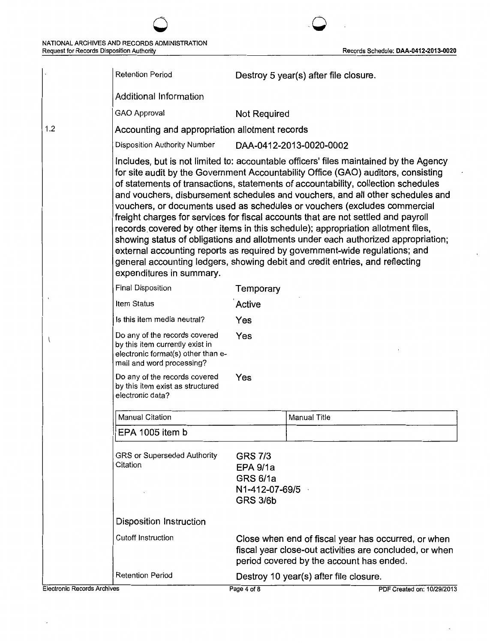|                                    | <b>Retention Period</b>                                                                                                             |                                                                                           | Destroy 5 year(s) after file closure.                                                                                                                                                                                                                                                                                                                                                                                                                                                                                                                                                                                                                                                                                                                                                                                                                       |
|------------------------------------|-------------------------------------------------------------------------------------------------------------------------------------|-------------------------------------------------------------------------------------------|-------------------------------------------------------------------------------------------------------------------------------------------------------------------------------------------------------------------------------------------------------------------------------------------------------------------------------------------------------------------------------------------------------------------------------------------------------------------------------------------------------------------------------------------------------------------------------------------------------------------------------------------------------------------------------------------------------------------------------------------------------------------------------------------------------------------------------------------------------------|
|                                    | Additional Information                                                                                                              |                                                                                           |                                                                                                                                                                                                                                                                                                                                                                                                                                                                                                                                                                                                                                                                                                                                                                                                                                                             |
|                                    | GAO Approval                                                                                                                        | Not Required                                                                              |                                                                                                                                                                                                                                                                                                                                                                                                                                                                                                                                                                                                                                                                                                                                                                                                                                                             |
| 1.2                                | Accounting and appropriation allotment records                                                                                      |                                                                                           |                                                                                                                                                                                                                                                                                                                                                                                                                                                                                                                                                                                                                                                                                                                                                                                                                                                             |
|                                    | Disposition Authority Number                                                                                                        |                                                                                           | DAA-0412-2013-0020-0002                                                                                                                                                                                                                                                                                                                                                                                                                                                                                                                                                                                                                                                                                                                                                                                                                                     |
|                                    | expenditures in summary.                                                                                                            |                                                                                           | Includes, but is not limited to: accountable officers' files maintained by the Agency<br>for site audit by the Government Accountability Office (GAO) auditors, consisting<br>of statements of transactions, statements of accountability, collection schedules<br>and vouchers, disbursement schedules and vouchers, and all other schedules and<br>vouchers, or documents used as schedules or vouchers (excludes commercial<br>freight charges for services for fiscal accounts that are not settled and payroll<br>records covered by other items in this schedule); appropriation allotment files,<br>showing status of obligations and allotments under each authorized appropriation;<br>external accounting reports as required by government-wide regulations; and<br>general accounting ledgers, showing debit and credit entries, and reflecting |
|                                    | <b>Final Disposition</b>                                                                                                            | Temporary                                                                                 |                                                                                                                                                                                                                                                                                                                                                                                                                                                                                                                                                                                                                                                                                                                                                                                                                                                             |
|                                    | Item Status                                                                                                                         | Active                                                                                    |                                                                                                                                                                                                                                                                                                                                                                                                                                                                                                                                                                                                                                                                                                                                                                                                                                                             |
|                                    | Is this item media neutral?                                                                                                         | Yes                                                                                       |                                                                                                                                                                                                                                                                                                                                                                                                                                                                                                                                                                                                                                                                                                                                                                                                                                                             |
|                                    | Do any of the records covered<br>by this item currently exist in<br>electronic format(s) other than e-<br>mail and word processing? | Yes                                                                                       |                                                                                                                                                                                                                                                                                                                                                                                                                                                                                                                                                                                                                                                                                                                                                                                                                                                             |
|                                    | Do any of the records covered<br>by this item exist as structured<br>electronic data?                                               | Yes                                                                                       |                                                                                                                                                                                                                                                                                                                                                                                                                                                                                                                                                                                                                                                                                                                                                                                                                                                             |
|                                    | <b>Manual Citation</b>                                                                                                              |                                                                                           | Manual Title                                                                                                                                                                                                                                                                                                                                                                                                                                                                                                                                                                                                                                                                                                                                                                                                                                                |
|                                    | EPA 1005 item b                                                                                                                     |                                                                                           |                                                                                                                                                                                                                                                                                                                                                                                                                                                                                                                                                                                                                                                                                                                                                                                                                                                             |
|                                    | GRS or Superseded Authority<br>Citation                                                                                             | <b>GRS 7/3</b><br><b>EPA 9/1a</b><br><b>GRS 6/1a</b><br>N1-412-07-69/5<br><b>GRS 3/6b</b> |                                                                                                                                                                                                                                                                                                                                                                                                                                                                                                                                                                                                                                                                                                                                                                                                                                                             |
|                                    | <b>Disposition Instruction</b>                                                                                                      |                                                                                           |                                                                                                                                                                                                                                                                                                                                                                                                                                                                                                                                                                                                                                                                                                                                                                                                                                                             |
|                                    | <b>Cutoff Instruction</b>                                                                                                           |                                                                                           | Close when end of fiscal year has occurred, or when<br>fiscal year close-out activities are concluded, or when<br>period covered by the account has ended.                                                                                                                                                                                                                                                                                                                                                                                                                                                                                                                                                                                                                                                                                                  |
|                                    | <b>Retention Period</b>                                                                                                             |                                                                                           | Destroy 10 year(s) after file closure.                                                                                                                                                                                                                                                                                                                                                                                                                                                                                                                                                                                                                                                                                                                                                                                                                      |
| <b>Electronic Records Archives</b> |                                                                                                                                     | Page 4 of 8                                                                               | PDF Created on: 10/29/2013                                                                                                                                                                                                                                                                                                                                                                                                                                                                                                                                                                                                                                                                                                                                                                                                                                  |

 $\cdot$ 

 $\bar{1}$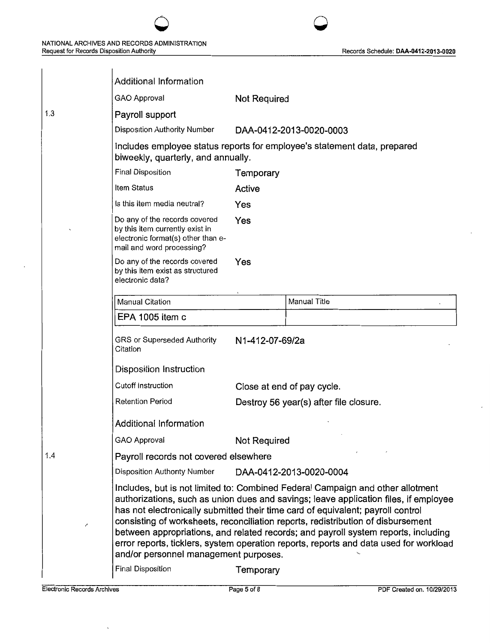|  |  |  | Records Schedule: DAA-0412-2013-0020 |  |
|--|--|--|--------------------------------------|--|
|--|--|--|--------------------------------------|--|

|     | <b>Additional Information</b>                                                                                                       |                                                                                                                                                                                                                                                                                                                                                                                                                                                                                                                              |                                                                          |
|-----|-------------------------------------------------------------------------------------------------------------------------------------|------------------------------------------------------------------------------------------------------------------------------------------------------------------------------------------------------------------------------------------------------------------------------------------------------------------------------------------------------------------------------------------------------------------------------------------------------------------------------------------------------------------------------|--------------------------------------------------------------------------|
|     | GAO Approval                                                                                                                        | Not Required                                                                                                                                                                                                                                                                                                                                                                                                                                                                                                                 |                                                                          |
| 1.3 | Payroll support                                                                                                                     |                                                                                                                                                                                                                                                                                                                                                                                                                                                                                                                              |                                                                          |
|     | Disposition Authority Number                                                                                                        |                                                                                                                                                                                                                                                                                                                                                                                                                                                                                                                              | DAA-0412-2013-0020-0003                                                  |
|     | biweekly, quarterly, and annually.                                                                                                  |                                                                                                                                                                                                                                                                                                                                                                                                                                                                                                                              | Includes employee status reports for employee's statement data, prepared |
|     | <b>Final Disposition</b>                                                                                                            | Temporary                                                                                                                                                                                                                                                                                                                                                                                                                                                                                                                    |                                                                          |
|     | Item Status                                                                                                                         | Active                                                                                                                                                                                                                                                                                                                                                                                                                                                                                                                       |                                                                          |
|     | Is this item media neutral?                                                                                                         | Yes                                                                                                                                                                                                                                                                                                                                                                                                                                                                                                                          |                                                                          |
|     | Do any of the records covered<br>by this item currently exist in<br>electronic format(s) other than e-<br>mail and word processing? | Yes                                                                                                                                                                                                                                                                                                                                                                                                                                                                                                                          |                                                                          |
|     | Do any of the records covered<br>by this item exist as structured<br>electronic data?                                               | Yes                                                                                                                                                                                                                                                                                                                                                                                                                                                                                                                          |                                                                          |
|     | Manual Citation                                                                                                                     |                                                                                                                                                                                                                                                                                                                                                                                                                                                                                                                              | Manual Title                                                             |
|     | EPA 1005 item c                                                                                                                     |                                                                                                                                                                                                                                                                                                                                                                                                                                                                                                                              |                                                                          |
|     | GRS or Superseded Authority<br>Citation                                                                                             | N1-412-07-69/2a                                                                                                                                                                                                                                                                                                                                                                                                                                                                                                              |                                                                          |
|     | <b>Disposition Instruction</b>                                                                                                      |                                                                                                                                                                                                                                                                                                                                                                                                                                                                                                                              |                                                                          |
|     | <b>Cutoff Instruction</b>                                                                                                           |                                                                                                                                                                                                                                                                                                                                                                                                                                                                                                                              | Close at end of pay cycle.                                               |
|     | <b>Retention Period</b>                                                                                                             |                                                                                                                                                                                                                                                                                                                                                                                                                                                                                                                              | Destroy 56 year(s) after file closure.                                   |
|     | Additional Information                                                                                                              |                                                                                                                                                                                                                                                                                                                                                                                                                                                                                                                              |                                                                          |
|     | GAO Approval                                                                                                                        | Not Required                                                                                                                                                                                                                                                                                                                                                                                                                                                                                                                 |                                                                          |
| 1.4 | Payroll records not covered elsewhere                                                                                               |                                                                                                                                                                                                                                                                                                                                                                                                                                                                                                                              |                                                                          |
|     | Disposition Authority Number                                                                                                        |                                                                                                                                                                                                                                                                                                                                                                                                                                                                                                                              | DAA-0412-2013-0020-0004                                                  |
| ∕   | and/or personnel management purposes.                                                                                               | Includes, but is not limited to: Combined Federal Campaign and other allotment<br>authorizations, such as union dues and savings; leave application files, if employee<br>has not electronically submitted their time card of equivalent; payroll control<br>consisting of worksheets, reconciliation reports, redistribution of disbursement<br>between appropriations, and related records; and payroll system reports, including<br>error reports, ticklers, system operation reports, reports and data used for workload |                                                                          |
|     | <b>Final Disposition</b>                                                                                                            | Temporary                                                                                                                                                                                                                                                                                                                                                                                                                                                                                                                    |                                                                          |

 $\circ$   $\circ$ 

 $\overline{ }$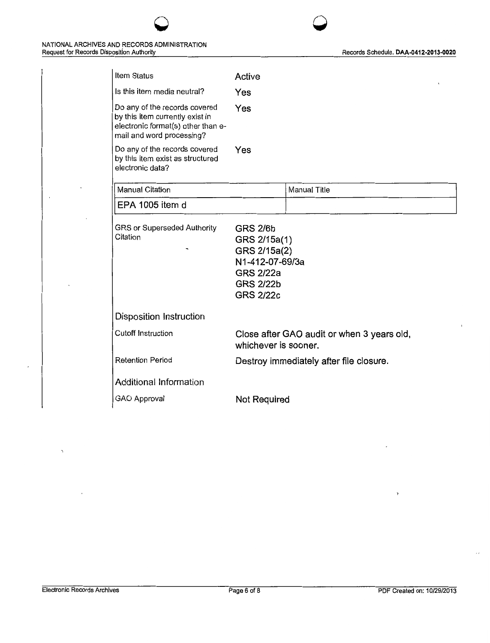J.

| Item Status                                                                                                                         | Active                                                                                                                         |                                            |
|-------------------------------------------------------------------------------------------------------------------------------------|--------------------------------------------------------------------------------------------------------------------------------|--------------------------------------------|
| Is this item media neutral?                                                                                                         | Yes                                                                                                                            |                                            |
| Do any of the records covered<br>by this item currently exist in<br>electronic format(s) other than e-<br>mail and word processing? | Yes                                                                                                                            |                                            |
| Do any of the records covered<br>by this item exist as structured<br>electronic data?                                               | Yes                                                                                                                            |                                            |
| <b>Manual Citation</b>                                                                                                              |                                                                                                                                | <b>Manual Title</b>                        |
| EPA 1005 item d                                                                                                                     |                                                                                                                                |                                            |
| GRS or Superseded Authority<br>Citation                                                                                             | <b>GRS 2/6b</b><br>GRS 2/15a(1)<br>GRS 2/15a(2)<br>N1-412-07-69/3a<br><b>GRS 2/22a</b><br><b>GRS 2/22b</b><br><b>GRS 2/22c</b> |                                            |
| Disposition Instruction                                                                                                             |                                                                                                                                |                                            |
| <b>Cutoff Instruction</b>                                                                                                           | whichever is sooner.                                                                                                           | Close after GAO audit or when 3 years old, |
| <b>Retention Period</b>                                                                                                             |                                                                                                                                | Destroy immediately after file closure.    |
| Additional Information                                                                                                              |                                                                                                                                |                                            |
| GAO Approval                                                                                                                        | Not Required                                                                                                                   |                                            |

 $\circ$   $\circ$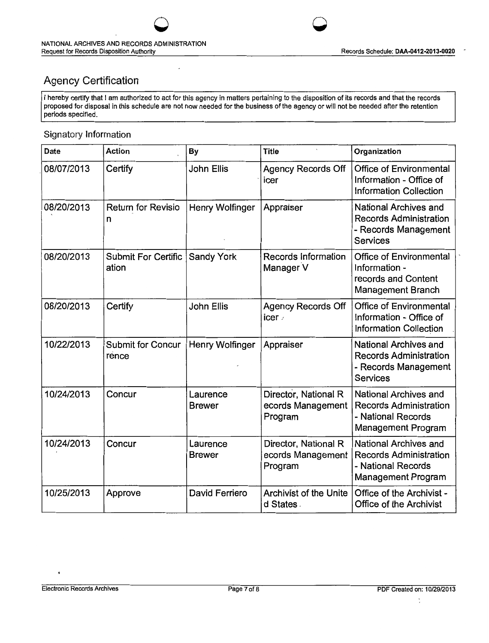# Agency Certification

I hereby certify that I am authorized to act for this agency in matters pertaining to the disposition of its records and that the records proposed for disposal in this schedule are not now needed for the business of the agency or will not be needed after the retention periods specified.

 $\overline{\mathcal{O}}$  and  $\overline{\mathcal{O}}$ 

## Signatory Information

| Date       | Action                              | By                        | <b>Title</b>                                         | Organization                                                                                              |
|------------|-------------------------------------|---------------------------|------------------------------------------------------|-----------------------------------------------------------------------------------------------------------|
| 08/07/2013 | Certify                             | <b>John Ellis</b>         | <b>Agency Records Off</b><br>icer                    | Office of Environmental<br>Information - Office of<br><b>Information Collection</b>                       |
| 08/20/2013 | <b>Return for Revisio</b><br>n      | Henry Wolfinger           | Appraiser                                            | National Archives and<br><b>Records Administration</b><br>- Records Management<br><b>Services</b>         |
| 08/20/2013 | <b>Submit For Certific</b><br>ation | <b>Sandy York</b>         | <b>Records Information</b><br>Manager V              | <b>Office of Environmental</b><br>Information -<br>records and Content<br><b>Management Branch</b>        |
| 08/20/2013 | Certify                             | John Ellis                | Agency Records Off<br>icer /                         | <b>Office of Environmental</b><br>Information - Office of<br><b>Information Collection</b>                |
| 10/22/2013 | <b>Submit for Concur</b><br>rence   | Henry Wolfinger           | Appraiser                                            | National Archives and<br><b>Records Administration</b><br>- Records Management<br>Services                |
| 10/24/2013 | Concur                              | Laurence<br><b>Brewer</b> | Director, National R<br>ecords Management<br>Program | National Archives and<br><b>Records Administration</b><br>- National Records<br><b>Management Program</b> |
| 10/24/2013 | Concur                              | Laurence<br><b>Brewer</b> | Director, National R<br>ecords Management<br>Program | National Archives and<br><b>Records Administration</b><br>- National Records<br>Management Program        |
| 10/25/2013 | Approve                             | David Ferriero            | <b>Archivist of the Unite</b><br>d States.           | Office of the Archivist -<br><b>Office of the Archivist</b>                                               |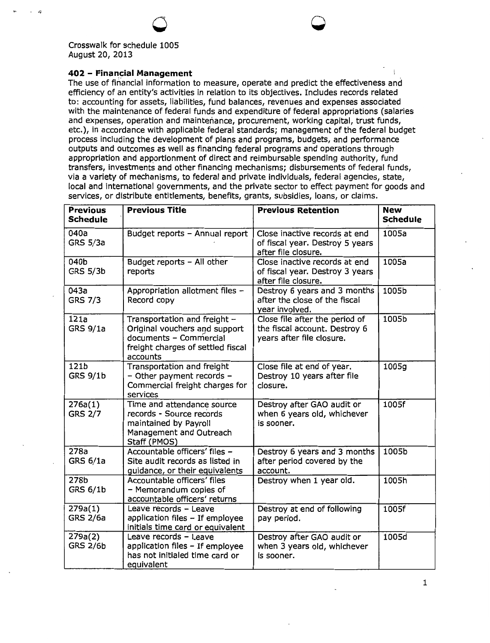- r,

#### **402 - Financial Management**

The use of financial information to measure, operate and predict the effectiveness and efficiency of an entity's activities in relation to its objectives. Includes records related to: accounting for assets, liabilities, fund balances, revenues and expenses associated with the maintenance of federal funds and expenditure of federal appropriations (salaries and expenses, operation and maintenance, procurement, working capital, trust funds, etc.), in accordance with applicable federal standards; management of the federal budget process including the development of plans and programs, budgets, and performance outputs and outcomes as well as financing federal programs and operations through appropriation and apportionment of direct and reimbursable spending authority, fund transfers, investments and other financing mechanisms; disbursements of federal funds, via a variety of mechanisms, to federal and private individuals, federal agencies, state, local and international governments, and the private sector to effect payment for goods and services, or distribute entitlements, benefits, grants, subsidies, loans, or claims.

0 **0** 

| <b>Previous</b><br><b>Schedule</b>  | <b>Previous Title</b>                                                                                                                    | <b>Previous Retention</b>                                                                    | <b>New</b><br><b>Schedule</b> |
|-------------------------------------|------------------------------------------------------------------------------------------------------------------------------------------|----------------------------------------------------------------------------------------------|-------------------------------|
| 040a<br><b>GRS 5/3a</b>             | Budget reports - Annual report                                                                                                           | Close inactive records at end<br>of fiscal year. Destroy 5 years<br>after file closure.      | 1005a                         |
| 040b<br><b>GRS 5/3b</b>             | Budget reports - All other<br>reports                                                                                                    | Close inactive records at end<br>of fiscal year. Destroy 3 years<br>after file closure.      | 1005a                         |
| 043a<br><b>GRS 7/3</b>              | Appropriation allotment files -<br>Record copy                                                                                           | Destroy 6 years and 3 months<br>after the close of the fiscal<br>year involved.              | 1005b                         |
| 121a<br><b>GRS 9/1a</b>             | Transportation and freight -<br>Original vouchers and support<br>documents - Commercial<br>freight charges of settled fiscal<br>accounts | Close file after the period of<br>the fiscal account. Destroy 6<br>years after file closure. | 1005b                         |
| 121b<br><b>GRS 9/1b</b>             | Transportation and freight<br>- Other payment records -<br>Commercial freight charges for<br>services                                    | Close file at end of year.<br>Destroy 10 years after file<br>closure.                        | 1005g                         |
| 276a(1)<br><b>GRS 2/7</b>           | Time and attendance source<br>records - Source records<br>maintained by Payroll<br>Management and Outreach<br>Staff (PMOS)               | Destroy after GAO audit or<br>when 6 years old, whichever<br>is sooner.                      | 1005f                         |
| 278a<br>GRS 6/1a                    | Accountable officers' files -<br>Site audit records as listed in<br>guidance, or their equivalents                                       | Destroy 6 years and 3 months<br>after period covered by the<br>account.                      | 1005b                         |
| 278 <sub>b</sub><br><b>GRS 6/1b</b> | Accountable officers' files<br>- Memorandum copies of<br>accountable officers' returns                                                   | Destroy when 1 year old.                                                                     | 1005h                         |
| 279a(1)<br><b>GRS 2/6a</b>          | Leave records - Leave<br>application files - If employee<br>initials time card or equivalent                                             | Destroy at end of following<br>pay period.                                                   | 1005f                         |
| 279a(2)<br><b>GRS 2/6b</b>          | Leave records - Leave<br>application files - If employee<br>has not initialed time card or<br>equivalent                                 | Destroy after GAO audit or<br>when 3 years old, whichever<br>is sooner.                      | 1005d                         |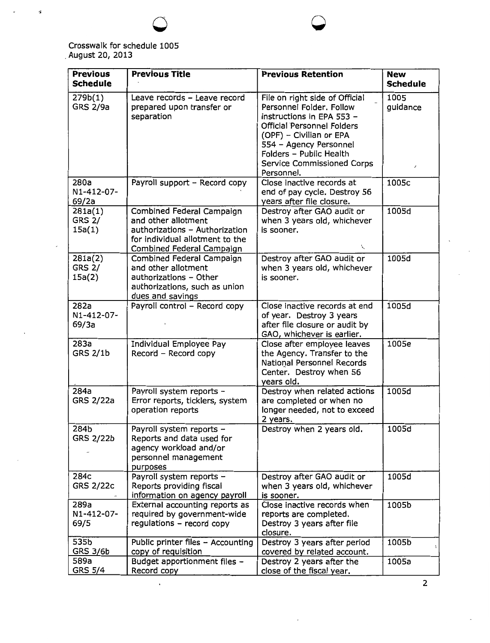

 $\mathfrak s$ 

| <b>Previous</b>                    | <b>Previous Title</b>                                                                                                                                     | <b>Previous Retention</b>                                                                                                                                                                                                                         | <b>New</b>       |
|------------------------------------|-----------------------------------------------------------------------------------------------------------------------------------------------------------|---------------------------------------------------------------------------------------------------------------------------------------------------------------------------------------------------------------------------------------------------|------------------|
| <b>Schedule</b>                    |                                                                                                                                                           |                                                                                                                                                                                                                                                   | <b>Schedule</b>  |
| 279b(1)<br><b>GRS 2/9a</b>         | Leave records - Leave record<br>prepared upon transfer or<br>separation                                                                                   | File on right side of Official<br>Personnel Folder. Follow<br>instructions in EPA 553 -<br>Official Personnel Folders<br>(OPF) - Civilian or EPA<br>554 - Agency Personnel<br>Folders - Public Health<br>Service Commissioned Corps<br>Personnel. | 1005<br>guidance |
| 280a<br>N1-412-07-<br>69/2a        | Payroll support - Record copy                                                                                                                             | Close inactive records at<br>end of pay cycle. Destroy 56<br>years after file closure.                                                                                                                                                            | 1005c            |
| 281a(1)<br><b>GRS 2/</b><br>15a(1) | Combined Federal Campaign<br>and other allotment<br>authorizations - Authorization<br>for individual allotment to the<br><b>Combined Federal Campaign</b> | Destroy after GAO audit or<br>when 3 years old, whichever<br>is sooner.                                                                                                                                                                           | 1005d            |
| 281a(2)<br><b>GRS 2/</b><br>15a(2) | Combined Federal Campaign<br>and other allotment<br>authorizations - Other<br>authorizations, such as union<br>dues and savings                           | Destroy after GAO audit or<br>when 3 years old, whichever<br>is sooner.                                                                                                                                                                           | 1005d            |
| 282a<br>N1-412-07-<br>69/3a        | Payroll control - Record copy                                                                                                                             | Close inactive records at end<br>of year. Destroy 3 years<br>after file closure or audit by<br>GAO, whichever is earlier.                                                                                                                         | 1005d            |
| 283a<br><b>GRS 2/1b</b>            | Individual Employee Pay<br>Record - Record copy                                                                                                           | Close after employee leaves<br>the Agency. Transfer to the<br>National Personnel Records<br>Center. Destroy when 56<br>years old.                                                                                                                 | 1005e            |
| 284a<br><b>GRS 2/22a</b>           | Payroll system reports -<br>Error reports, ticklers, system<br>operation reports                                                                          | Destroy when related actions<br>are completed or when no<br>longer needed, not to exceed<br>2 years.                                                                                                                                              | 1005d            |
| 284b<br><b>GRS 2/22b</b>           | Payroll system reports -<br>Reports and data used for<br>agency workload and/or<br>personnel management<br>purposes                                       | Destroy when 2 years old.                                                                                                                                                                                                                         | 1005d            |
| 284c<br><b>GRS 2/22c</b>           | Payroll system reports -<br>Reports providing fiscal<br>information on agency payroll                                                                     | Destroy after GAO audit or<br>when 3 years old, whichever<br>is sooner.                                                                                                                                                                           | 1005d            |
| 289a<br>N1-412-07-<br>69/5         | External accounting reports as<br>required by government-wide<br>regulations - record copy                                                                | Close inactive records when<br>reports are completed.<br>Destroy 3 years after file<br>closure.                                                                                                                                                   | 1005b            |
| 535b<br><b>GRS 3/6b</b>            | Public printer files - Accounting<br>copy of requisition                                                                                                  | Destroy 3 years after period<br>covered by related account.                                                                                                                                                                                       | 1005b            |
| 589a<br><b>GRS 5/4</b>             | Budget apportionment files -<br>Record copy                                                                                                               | Destroy 2 years after the<br>close of the fiscal year.                                                                                                                                                                                            | 1005a            |

**0 0** 

2